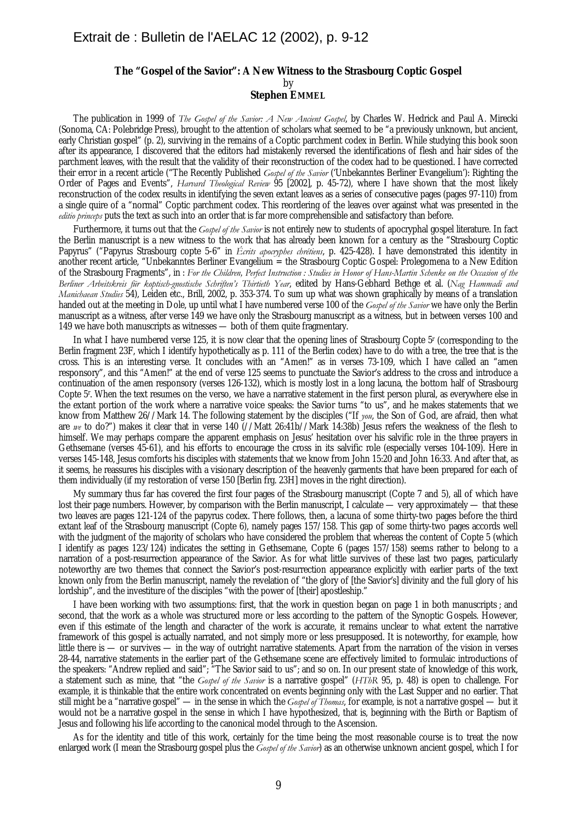## **The "Gospel of the Savior": A New Witness to the Strasbourg Coptic Gospel** by **Stephen EMMEL**

The publication in 1999 of *The Gospel of the Savior: A New Ancient Gospel*, by Charles W. Hedrick and Paul A. Mirecki (Sonoma, CA: Polebridge Press), brought to the attention of scholars what seemed to be "a previously unknown, but ancient, early Christian gospel" (p. 2), surviving in the remains of a Coptic parchment codex in Berlin. While studying this book soon after its appearance, I discovered that the editors had mistakenly reversed the identifications of flesh and hair sides of the parchment leaves, with the result that the validity of their reconstruction of the codex had to be questioned. I have corrected their error in a recent article ("The Recently Published *Gospel of the Savior* ('Unbekanntes Berliner Evangelium'): Righting the Order of Pages and Events", *Harvard Theological Review* 95 [2002], p. 45-72), where I have shown that the most likely reconstruction of the codex results in identifying the seven extant leaves as a series of consecutive pages (pages 97-110) from a single quire of a "normal" Coptic parchment codex. This reordering of the leaves over against what was presented in the *editio princeps* puts the text as such into an order that is far more comprehensible and satisfactory than before.

Furthermore, it turns out that the *Gospel of the Savior* is not entirely new to students of apocryphal gospel literature. In fact the Berlin manuscript is a new witness to the work that has already been known for a century as the "Strasbourg Coptic Papyrus" ("Papyrus Strasbourg copte 5-6" in *Écrits apocryphes chrétiens*, p. 425-428). I have demonstrated this identity in another recent article, "Unbekanntes Berliner Evangelium = the Strasbourg Coptic Gospel: Prolegomena to a New Edition of the Strasbourg Fragments", in : *For the Children, Perfect Instruction : Studies in Honor of Hans-Martin Schenke on the Occasion of the Berliner Arbeitskreis für koptisch-gnostische Schriften's Thirtieth Year*, edited by Hans-Gebhard Bethge et al. (*Nag Hammadi and Manichaean Studies* 54), Leiden etc., Brill, 2002, p. 353-374. To sum up what was shown graphically by means of a translation handed out at the meeting in Dole, up until what I have numbered verse 100 of the *Gospel of the Savior* we have only the Berlin manuscript as a witness, after verse 149 we have only the Strasbourg manuscript as a witness, but in between verses 100 and 149 we have both manuscripts as witnesses — both of them quite fragmentary.

In what I have numbered verse 125, it is now clear that the opening lines of Strasbourg Copte 5r (corresponding to the Berlin fragment 23F, which I identify hypothetically as p. 111 of the Berlin codex) have to do with a tree, the tree that is the cross. This is an interesting verse. It concludes with an "Amen!" as in verses 73-109, which I have called an "amen responsory", and this "Amen!" at the end of verse 125 seems to punctuate the Savior's address to the cross and introduce a continuation of the amen responsory (verses 126-132), which is mostly lost in a long lacuna, the bottom half of Strasbourg Copte 5r . When the text resumes on the verso, we have a narrative statement in the first person plural, as everywhere else in the extant portion of the work where a narrative voice speaks: the Savior turns "to us", and he makes statements that we know from Matthew 26//Mark 14. The following statement by the disciples ("If *you*, the Son of God, are afraid, then what are *we* to do?") makes it clear that in verse 140 (//Matt 26:41b//Mark 14:38b) Jesus refers the weakness of the flesh to himself. We may perhaps compare the apparent emphasis on Jesus' hesitation over his salvific role in the three prayers in Gethsemane (verses 45-61), and his efforts to encourage the cross in its salvific role (especially verses 104-109). Here in verses 145-148, Jesus comforts his disciples with statements that we know from John 15:20 and John 16:33. And after that, as it seems, he reassures his disciples with a visionary description of the heavenly garments that have been prepared for each of them individually (if my restoration of verse 150 [Berlin frg. 23H] moves in the right direction).

My summary thus far has covered the first four pages of the Strasbourg manuscript (Copte 7 and 5), all of which have lost their page numbers. However, by comparison with the Berlin manuscript, I calculate — very approximately — that these two leaves are pages 121-124 of the papyrus codex. There follows, then, a lacuna of some thirty-two pages before the third extant leaf of the Strasbourg manuscript (Copte 6), namely pages 157/158. This gap of some thirty-two pages accords well with the judgment of the majority of scholars who have considered the problem that whereas the content of Copte 5 (which I identify as pages 123/124) indicates the setting in Gethsemane, Copte 6 (pages 157/158) seems rather to belong to a narration of a post-resurrection appearance of the Savior. As for what little survives of these last two pages, particularly noteworthy are two themes that connect the Savior's post-resurrection appearance explicitly with earlier parts of the text known only from the Berlin manuscript, namely the revelation of "the glory of [the Savior's] divinity and the full glory of his lordship", and the investiture of the disciples "with the power of [their] apostleship."

I have been working with two assumptions: first, that the work in question began on page 1 in both manuscripts ; and second, that the work as a whole was structured more or less according to the pattern of the Synoptic Gospels. However, even if this estimate of the length and character of the work is accurate, it remains unclear to what extent the narrative framework of this gospel is actually narrated, and not simply more or less presupposed. It is noteworthy, for example, how little there is — or survives — in the way of outright narrative statements. Apart from the narration of the vision in verses 28-44, narrative statements in the earlier part of the Gethsemane scene are effectively limited to formulaic introductions of the speakers: "Andrew replied and said"; "The Savior said to us"; and so on. In our present state of knowledge of this work, a statement such as mine, that "the *Gospel of the Savior* is a narrative gospel" (*HThR* 95, p. 48) is open to challenge. For example, it is thinkable that the entire work concentrated on events beginning only with the Last Supper and no earlier. That still might be a "narrative gospel" — in the sense in which the *Gospel of Thomas*, for example, is not a narrative gospel — but it would not be a narrative gospel in the sense in which I have hypothesized, that is, beginning with the Birth or Baptism of Jesus and following his life according to the canonical model through to the Ascension.

As for the identity and title of this work, certainly for the time being the most reasonable course is to treat the now enlarged work (I mean the Strasbourg gospel plus the *Gospel of the Savior*) as an otherwise unknown ancient gospel, which I for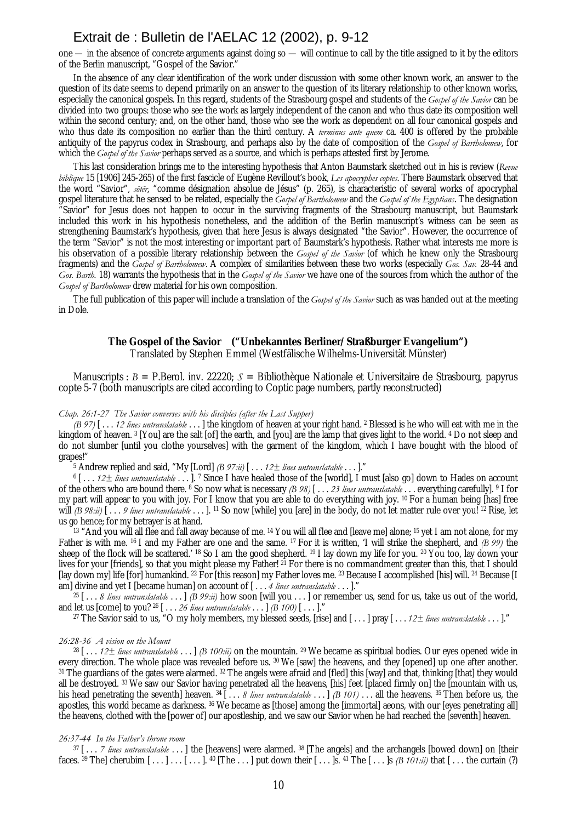## Extrait de : Bulletin de l'AELAC 12 (2002), p. 9-12

one — in the absence of concrete arguments against doing so — will continue to call by the title assigned to it by the editors of the Berlin manuscript, "Gospel of the Savior."

In the absence of any clear identification of the work under discussion with some other known work, an answer to the question of its date seems to depend primarily on an answer to the question of its literary relationship to other known works, especially the canonical gospels. In this regard, students of the Strasbourg gospel and students of the *Gospel of the Savior* can be divided into two groups: those who see the work as largely independent of the canon and who thus date its composition well within the second century; and, on the other hand, those who see the work as dependent on all four canonical gospels and who thus date its composition no earlier than the third century. A *terminus ante quem* ca. 400 is offered by the probable antiquity of the papyrus codex in Strasbourg, and perhaps also by the date of composition of the *Gospel of Bartholomew*, for which the *Gospel of the Savior* perhaps served as a source, and which is perhaps attested first by Jerome.

This last consideration brings me to the interesting hypothesis that Anton Baumstark sketched out in his is review (*Revue biblique* 15 [1906] 245-265) of the first fascicle of Eugène Revillout's book, *Les apocryphes coptes*. There Baumstark observed that the word "Savior", *sōtēr*, "comme désignation absolue de Jésus" (p. 265), is characteristic of several works of apocryphal gospel literature that he sensed to be related, especially the *Gospel of Bartholomew* and the *Gospel of the Egyptians*. The designation "Savior" for Jesus does not happen to occur in the surviving fragments of the Strasbourg manuscript, but Baumstark included this work in his hypothesis nonetheless, and the addition of the Berlin manuscript's witness can be seen as strengthening Baumstark's hypothesis, given that here Jesus is always designated "the Savior". However, the occurrence of the term "Savior" is not the most interesting or important part of Baumstark's hypothesis. Rather what interests me more is his observation of a possible literary relationship between the *Gospel of the Savior* (of which he knew only the Strasbourg fragments) and the *Gospel of Bartholomew*. A complex of similarities between these two works (especially *Gos. Sav.* 28-44 and *Gos. Barth.* 18) warrants the hypothesis that in the *Gospel of the Savior* we have one of the sources from which the author of the *Gospel of Bartholomew* drew material for his own composition.

The full publication of this paper will include a translation of the *Gospel of the Savior* such as was handed out at the meeting in Dole.

## **The Gospel of the Savior ("Unbekanntes Berliner/Straßburger Evangelium")** Translated by Stephen Emmel (Westfälische Wilhelms-Universität Münster)

Manuscripts : *B* = P.Berol. inv. 22220; *S* = Bibliothèque Nationale et Universitaire de Strasbourg, papyrus copte 5-7 (both manuscripts are cited according to Coptic page numbers, partly reconstructed)

### *Chap. 26:1-27 The Savior converses with his disciples (after the Last Supper)*

*(B 97)* [ . . . *12 lines untranslatable* . . . ] the kingdom of heaven at your right hand. 2 Blessed is he who will eat with me in the kingdom of heaven. 3 [You] are the salt [of] the earth, and [you] are the lamp that gives light to the world. 4 Do not sleep and do not slumber [until you clothe yourselves] with the garment of the kingdom, which I have bought with the blood of grapes!"

5 Andrew replied and said, "My [Lord] *(B 97:ii)* [ . . . *12± lines untranslatable* . . . ]."

6 [ . . . *12± lines untranslatable* . . . ]. 7 Since I have healed those of the [world], I must [also go] down to Hades on account of the others who are bound there. 8 So now what is necessary *(B 98)* [ . . . *23 lines untranslatable* . . . everything carefully]. 9 I for my part will appear to you with joy. For I know that you are able to do everything with joy. 10 For a human being [has] free will *(B 98:ii)* [... *9 lines untranslatable* ...]. <sup>11</sup> So now [while] you [are] in the body, do not let matter rule over you! <sup>12</sup> Rise, let us go hence; for my betrayer is at hand.

13 "And you will all flee and fall away because of me. <sup>14</sup> You will all flee and [leave me] alone; <sup>15</sup> yet I am not alone, for my Father is with me. 16 I and my Father are one and the same. 17 For it is written, 'I will strike the shepherd, and *(B 99)* the sheep of the flock will be scattered.' 18 So I am the good shepherd. 19 I lay down my life for you. 20 You too, lay down your lives for your [friends], so that you might please my Father! <sup>21</sup> For there is no commandment greater than this, that I should [lay down my] life [for] humankind. 22 For [this reason] my Father loves me. 23 Because I accomplished [his] will. 24 Because [I am] divine and yet I [became human] on account of [... 4 *lines untranslatable* ...].'

25 [ . . . *8 lines untranslatable* . . . ] *(B 99:ii)* how soon [will you . . . ] or remember us, send for us, take us out of the world, and let us [come] to you? 26 [ . . . *26 lines untranslatable* . . . ] *(B 100)* [ . . . ]."

27 The Savior said to us, "O my holy members, my blessed seeds, [rise] and [ . . . ] pray [ . . . *12± lines untranslatable* . . . ]."

#### *26:28-36 A vision on the Mount*

 $28$  [...  $12 \pm$  lines untranslatable  $\dots$  ] *(B 100:ii)* on the mountain. <sup>29</sup> We became as spiritual bodies. Our eyes opened wide in every direction. The whole place was revealed before us. 30 We [saw] the heavens, and they [opened] up one after another. 31 The guardians of the gates were alarmed. 32 The angels were afraid and [fled] this [way] and that, thinking [that] they would all be destroyed. 33 We saw our Savior having penetrated all the heavens, [his] feet [placed firmly on] the [mountain with us, his head penetrating the seventh] heaven.  $34$ [... *8 lines untranslatable* ...] *(B 101)* ... all the heavens. 35 Then before us, the apostles, this world became as darkness. 36 We became as [those] among the [immortal] aeons, with our [eyes penetrating all] the heavens, clothed with the [power of] our apostleship, and we saw our Savior when he had reached the [seventh] heaven.

#### *26:37-44 In the Father's throne room*

37 [ . . . *7 lines untranslatable* . . . ] the [heavens] were alarmed. 38 [The angels] and the archangels [bowed down] on [their faces. <sup>39</sup> The] cherubim  $[\ldots] \ldots [\ldots]$ .  $\downarrow$  40 [The  $\ldots$ ] put down their  $[\ldots]$ s.  $\downarrow$  1 The  $[\ldots]$ s *(B 101:ii)* that  $[\ldots]$  the curtain (?)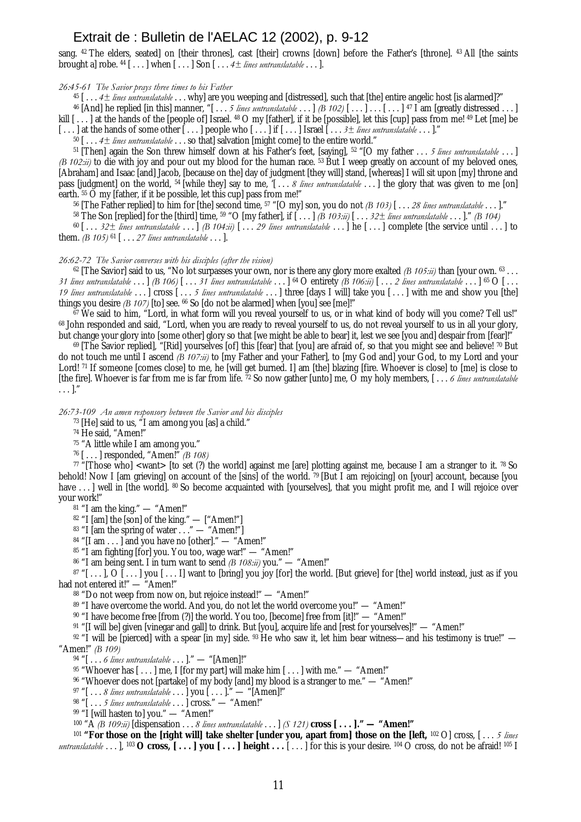## Extrait de : Bulletin de l'AELAC 12 (2002), p. 9-12

sang. <sup>42</sup> The elders, seated] on [their thrones], cast [their] crowns [down] before the Father's [throne]. <sup>43</sup> All [the saints brought a] robe. 44 [ . . . ] when [ . . . ] Son [ . . . *4± lines untranslatable* . . . ].

*26:45-61 The Savior prays three times to his Father*

45 [ . . . *4± lines untranslatable* . . . why] are you weeping and [distressed], such that [the] entire angelic host [is alarmed]?"

<sup>46</sup> [And] he replied [in this] manner, "[... *5 lines untranslatable* ... ] *(B 102)* [...] ... [...]<sup>47</sup> I am [greatly distressed ...] kill  $[\,\ldots\,]$  at the hands of the [people of] Israel.  $^{48}$  O my [father], if it be [possible], let this [cup] pass from me!  $^{49}$  Let [me] be

 $[\dots]$  at the hands of some other  $[\dots]$  people who  $[\dots]$  if  $[\dots]$  Israel  $[\dots]$  *ines untranslatable*  $\dots$ ]."

50 [ . . . *4± lines untranslatable* . . . so that] salvation [might come] to the entire world."

51 [Then] again the Son threw himself down at his Father's feet, [saying], 52 "[O my father . . . *5 lines untranslatable* . . . ] *(B 102:ii)* to die with joy and pour out my blood for the human race. <sup>53</sup> But I weep greatly on account of my beloved ones, [Abraham] and Isaac [and] Jacob, [because on the] day of judgment [they will] stand, [whereas] I will sit upon [my] throne and pass [judgment] on the world, 54 [while they] say to me, '[ . . . *8 lines untranslatable* . . . ] the glory that was given to me [on] earth. <sup>55</sup> O my [father, if it be possible, let this cup] pass from me!"

56 [The Father replied] to him for [the] second time, 57 "[O my] son, you do not *(B 103)* [ . . . *28 lines untranslatable* . . . ]."

58 The Son [replied] for the [third] time, 59 "O [my father], if [ . . . ] *(B 103:ii)* [ . . . *32± lines untranslatable* . . . ]." *(B 104)*

 $60$  [...  $32\pm$  lines untranslatable ...] *(B 104:ii)* [... 29 lines untranslatable ...] he [...] complete [the service until ...] to them. *(B 105)*  $^{61}$  [... 27 *lines untranslatable* ... ].

#### *26:62-72 The Savior converses with his disciples (after the vision)*

62 [The Savior] said to us, "No lot surpasses your own, nor is there any glory more exalted *(B 105:ii)* than [your own. 63 . . . 31 lines untranslatable ... [B 106] [... 31 lines untranslatable ... ]  $^{64}$  O entirety (B 106:ii) [... 2 lines untranslatable ... ]  $^{65}$  O [... 1*9 lines untranslatable* . . . ] cross  $[\ldots 5]$  *lines untranslatable* . . . ] three [days I will] take you  $[\ldots]$  with me and show you [the] things you desire *(B 107)* [to] see. 66 So [do not be alarmed] when [you] see [me]!"

 $\frac{67}{100}$  We said to him, "Lord, in what form will you reveal yourself to us, or in what kind of body will you come? Tell us!" 68 John responded and said, "Lord, when you are ready to reveal yourself to us, do not reveal yourself to us in all your glory, but change your glory into [some other] glory so that [we might be able to bear] it, lest we see [you and] despair from [fear]!"

<sup>69</sup> [The Savior replied], "[Rid] yourselves [of] this [fear] that [you] are afraid of, so that you might see and believe! 70 But do not touch me until I ascend *(B 107:ii)* to [my Father and your Father], to [my God and] your God, to my Lord and your Lord! 71 If someone [comes close] to me, he [will get burned. I] am [the] blazing [fire. Whoever is close] to [me] is close to [the fire]. Whoever is far from me is far from life. 72 So now gather [unto] me, O my holy members, [ . . . *6 lines untranslatable*  $\ldots$ ]."

*26:73-109 An amen responsory between the Savior and his disciples*

73 [He] said to us, "I am among you [as] a child."

74 He said, "Amen!"

75 "A little while I am among you."

76 [ . . . ] responded, "Amen!" *(B 108)*

 $77$  "[Those who] <want> [to set (?) the world] against me [are] plotting against me, because I am a stranger to it. 78 So behold! Now I [am grieving] on account of the [sins] of the world.  $\frac{79}{2}$  [But I am rejoicing] on [your] account, because [you have ... ] well in [the world]. <sup>80</sup> So become acquainted with [vourselves], that you might profit me, and I will rejoice over your work!"

81 "I am the king." — "Amen!"

82 "I [am] the [son] of the king." — ["Amen!"]

 $83$  "I [am the spring of water  $\dots$  " — "Amen!"]

 $84$  "[I am  $\ldots$  ] and you have no [other]." — "Amen!"

<sup>85</sup> "I am fighting [for] you. You too, wage war!" — "Amen!"

86 "I am being sent. I in turn want to send *(B 108:ii)* you." — "Amen!"

 $87$  "[...], O  $[...]$  you  $[...]$  want to [bring] you joy [for] the world. [But grieve] for [the] world instead, just as if you had not entered it!" - "Amen!"

88 "Do not weep from now on, but rejoice instead!" — "Amen!"

89 "I have overcome the world. And you, do not let the world overcome you!" — "Amen!"

90 "I have become free [from (?)] the world. You too, [become] free from [it]!" — "Amen!"

91 "[I will be] given [vinegar and gall] to drink. But [you], acquire life and [rest for yourselves]!" — "Amen!"

 $92$  "I will be [pierced] with a spear [in my] side.  $93$  He who saw it, let him bear witness—and his testimony is true!" — "Amen!" *(B 109)*

94 "[ . . . *6 lines untranslatable* . . . ]." — "[Amen]!"

 $95$  "Whoever has  $[...]$  me, I [for my part] will make him  $[...]$  with me." — "Amen!"

96 "Whoever does not [partake] of my body [and] my blood is a stranger to me." — "Amen!"

97 "[ . . . *8 lines untranslatable* . . . ] you [ . . . ]." — "[Amen]!"

98 "[ . . . *5 lines untranslatable* . . . ] cross." — "Amen!"

 $99$  "I [will hasten to] you." — "Amen!"

100 "A *(B 109:ii)* [dispensation . . . *8 lines untranslatable* . . . ] *(S 121)* **cross [ . . . ]." — "Amen!"**

<sup>101</sup> **"For those on the [right will] take shelter [under you, apart from] those on the [left,** 102 O] cross, [ . . . *5 lines untranslatable* . . . ], 103 **O cross, [ . . . ] you [ . . . ] height . . .** [ . . . ] for this is your desire. 104 O cross, do not be afraid! 105 I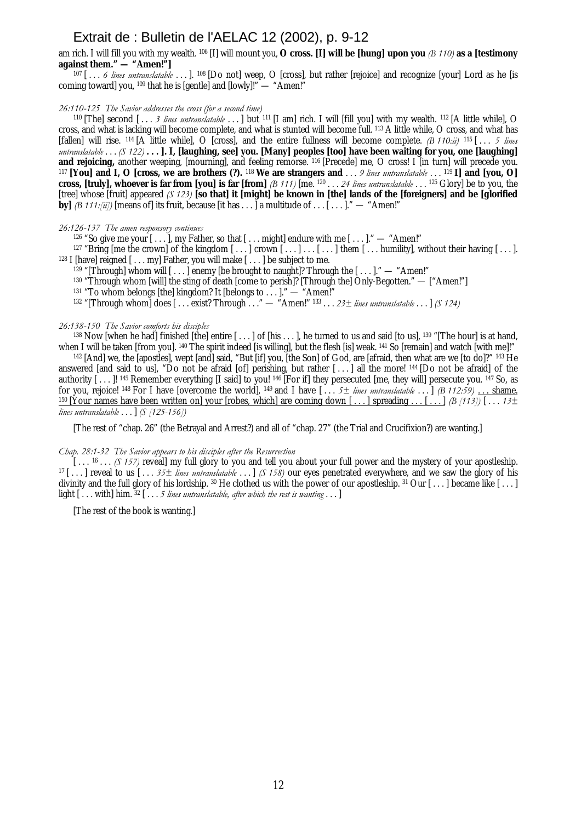## Extrait de : Bulletin de l'AELAC 12 (2002), p. 9-12

am rich. I will fill you with my wealth. 106 [I] will mount you, **O cross. [I] will be [hung] upon you** *(B 110)* **as a [testimony against them." — "Amen!"]**

107 [... 6 lines untranslatable ...]. <sup>108</sup> [Do not] weep, O [cross], but rather [rejoice] and recognize [your] Lord as he [is coming toward] you, 109 that he is [gentle] and [lowly]!" — "Amen!"

#### *26:110-125 The Savior addresses the cross (for a second time)*

110 [The] second [ . . . *3 lines untranslatable* . . . ] but 111 [I am] rich. I will [fill you] with my wealth. 112 [A little while], O cross, and what is lacking will become complete, and what is stunted will become full. 113 A little while, O cross, and what has [fallen] will rise. 114 [A little while], O [cross], and the entire fullness will become complete. *(B 110:ii)* 115 [ . . . *5 lines untranslatable* . . . *(S 122)* **. . . ]. I, [laughing, see] you. [Many] peoples [too] have been waiting for you, one [laughing] and rejoicing,** another weeping, [mourning], and feeling remorse. <sup>116</sup> [Precede] me, O cross! I [in turn] will precede you. <sup>117</sup> **[You] and I, O [cross, we are brothers (?).** <sup>118</sup> **We are strangers and** . . . *9 lines untranslatable* . . . 119 **I] and [you, O] cross, [truly], whoever is far from [you] is far [from]** *(B 111)* [me.  $^{120} \ldots$  24 lines untranslatable  $\ldots$  1<sup>25</sup> Glory] be to you, the [tree] whose [fruit] appeared *(S 123)* **[so that] it [might] be known in [the] lands of the [foreigners] and be [glorified by**] *(B 111:[ii])* [means of] its fruit, because [it has  $\ldots$ ] a multitude of  $\ldots$  [ $\ldots$ ]." — "Amen!"

## *26:126-137 The amen responsory continues*

<sup>126</sup> "So give me your  $[...]$ , my Father, so that  $[...$  might] endure with me  $[...]$ ." — "Amen!"

<sup>127</sup> "Bring [me the crown] of the kingdom  $[\,\dots]$  crown  $[\,\dots]\,\dots[\,\dots]$  them  $[\,\dots]$  humility], without their having  $[\,\dots]$ . <sup>128</sup> I [have] reigned  $[\ldots, m\mathbf{v}]$  Father, you will make  $[\ldots]$  be subject to me.

<sup>129</sup> "[Through] whom will  $[\,\dots]$  enemy [be brought to naught]? Through the  $[\,\dots]$ ." — "Amen!"

130 "Through whom [will] the sting of death [come to perish]? [Through the] Only-Begotten." — ["Amen!"]

<sup>131</sup> "To whom belongs [the] kingdom? It [belongs to . . . ]." — "Amen!"

132 "[Through whom] does [ . . . exist? Through . . ." — "Amen!" 133 . . . *23± lines untranslatable* . . . ] *(S 124)*

### *26:138-150 The Savior comforts his disciples*

<sup>138</sup> Now [when he had] finished [the] entire  $[\ldots]$  of [his  $\ldots$ ], he turned to us and said [to us], <sup>139</sup> "[The hour] is at hand, when I will be taken [from you]. <sup>140</sup> The spirit indeed [is willing], but the flesh [is] weak. <sup>141</sup> So [remain] and watch [with me]!"

142 [And] we, the [apostles], wept [and] said, "But [if] you, [the Son] of God, are [afraid, then what are we [to do]?" 143 He answered [and said to us], "Do not be afraid [of] perishing, but rather  $[\,\ldots\,]$  all the more!  $^{144}$  [Do not be afraid] of the authority  $[\dots]$ ! 145 Remember everything [I said] to you! 146 [For if] they persecuted [me, they will] persecute you. 147 So, as for you, rejoice! 148 For I have [overcome the world], 149 and I have [ . . . *5± lines untranslatable* . . . ] *(B 112:59)* . . . shame. <sup>150</sup> [Your names have been written on] your [robes, which] are coming down  $[\dots]$  spreading  $\dots$   $[\dots]$  *(B [113]*)  $[\dots$  *13*± *lines untranslatable* . . . ] *(S [125-156])*

[The rest of "chap. 26" (the Betrayal and Arrest?) and all of "chap. 27" (the Trial and Crucifixion?) are wanting.]

#### *Chap. 28:1-32 The Savior appears to his disciples after the Resurrection*

[...<sup>16</sup> ... *(S 157)* reveal] my full glory to you and tell you about your full power and the mystery of your apostleship. 17 [ . . . ] reveal to us [ . . . *35± lines untranslatable* . . . ] *(S 158)* our eyes penetrated everywhere, and we saw the glory of his divinity and the full glory of his lordship. 30 He clothed us with the power of our apostleship. 31 Our [...] became like [...] light [ . . . with] him. 32 [ . . . *5 lines untranslatable, after which the rest is wanting* . . . ]

[The rest of the book is wanting.]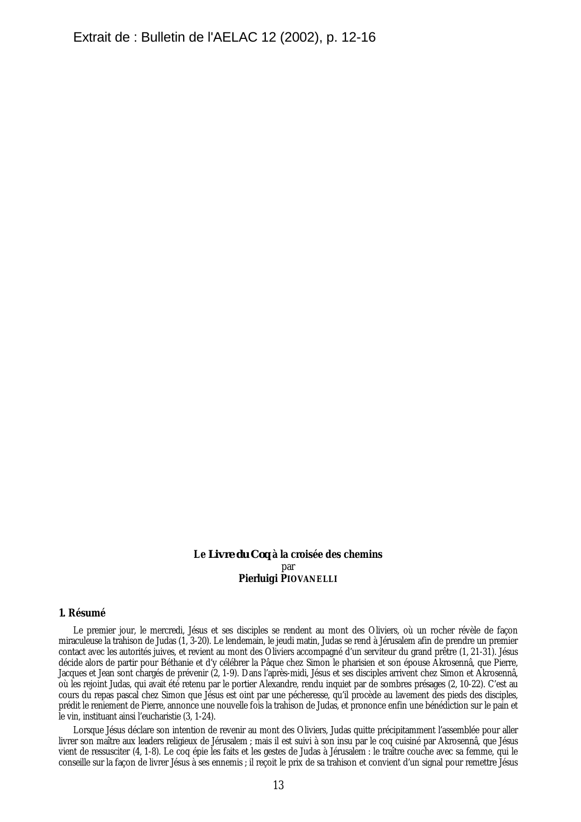## **Le** *Livre du Coq* **à la croisée des chemins** par **Pierluigi PIOVANELLI**

### **1. Résumé**

Le premier jour, le mercredi, Jésus et ses disciples se rendent au mont des Oliviers, où un rocher révèle de façon miraculeuse la trahison de Judas (1, 3-20). Le lendemain, le jeudi matin, Judas se rend à Jérusalem afin de prendre un premier contact avec les autorités juives, et revient au mont des Oliviers accompagné d'un serviteur du grand prêtre (1, 21-31). Jésus décide alors de partir pour Béthanie et d'y célébrer la Pâque chez Simon le pharisien et son épouse Akrosennâ, que Pierre, Jacques et Jean sont chargés de prévenir (2, 1-9). Dans l'après-midi, Jésus et ses disciples arrivent chez Simon et Akrosennâ, où les rejoint Judas, qui avait été retenu par le portier Alexandre, rendu inquiet par de sombres présages (2, 10-22). C'est au cours du repas pascal chez Simon que Jésus est oint par une pécheresse, qu'il procède au lavement des pieds des disciples, prédit le reniement de Pierre, annonce une nouvelle fois la trahison de Judas, et prononce enfin une bénédiction sur le pain et le vin, instituant ainsi l'eucharistie (3, 1-24).

Lorsque Jésus déclare son intention de revenir au mont des Oliviers, Judas quitte précipitamment l'assemblée pour aller livrer son maître aux leaders religieux de Jérusalem ; mais il est suivi à son insu par le coq cuisiné par Akrosennâ, que Jésus vient de ressusciter (4, 1-8). Le coq épie les faits et les gestes de Judas à Jérusalem : le traître couche avec sa femme, qui le conseille sur la façon de livrer Jésus à ses ennemis ; il reçoit le prix de sa trahison et convient d'un signal pour remettre Jésus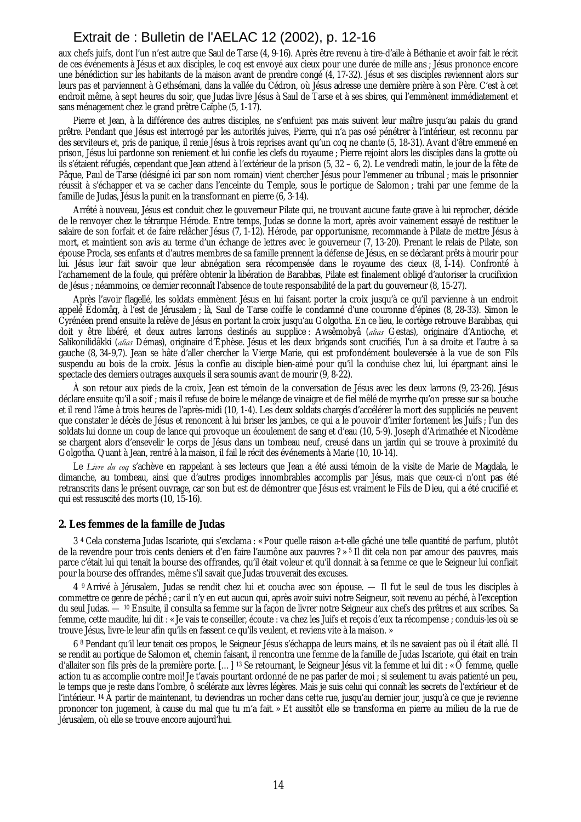# Extrait de : Bulletin de l'AELAC 12 (2002), p. 12-16

aux chefs juifs, dont l'un n'est autre que Saul de Tarse (4, 9-16). Après être revenu à tire-d'aile à Béthanie et avoir fait le récit de ces événements à Jésus et aux disciples, le coq est envoyé aux cieux pour une durée de mille ans ; Jésus prononce encore une bénédiction sur les habitants de la maison avant de prendre congé (4, 17-32). Jésus et ses disciples reviennent alors sur leurs pas et parviennent à Gethsémani, dans la vallée du Cédron, où Jésus adresse une dernière prière à son Père. C'est à cet endroit même, à sept heures du soir, que Judas livre Jésus à Saul de Tarse et à ses sbires, qui l'emmènent immédiatement et sans ménagement chez le grand prêtre Caïphe (5, 1-17).

Pierre et Jean, à la différence des autres disciples, ne s'enfuient pas mais suivent leur maître jusqu'au palais du grand prêtre. Pendant que Jésus est interrogé par les autorités juives, Pierre, qui n'a pas osé pénétrer à l'intérieur, est reconnu par des serviteurs et, pris de panique, il renie Jésus à trois reprises avant qu'un coq ne chante (5, 18-31). Avant d'être emmené en prison, Jésus lui pardonne son reniement et lui confie les clefs du royaume ; Pierre rejoint alors les disciples dans la grotte où ils s'étaient réfugiés, cependant que Jean attend à l'extérieur de la prison (5, 32 – 6, 2). Le vendredi matin, le jour de la fête de Pâque, Paul de Tarse (désigné ici par son nom romain) vient chercher Jésus pour l'emmener au tribunal ; mais le prisonnier réussit à s'échapper et va se cacher dans l'enceinte du Temple, sous le portique de Salomon ; trahi par une femme de la famille de Judas, Jésus la punit en la transformant en pierre (6, 3-14).

Arrêté à nouveau, Jésus est conduit chez le gouverneur Pilate qui, ne trouvant aucune faute grave à lui reprocher, décide de le renvoyer chez le tétrarque Hérode. Entre temps, Judas se donne la mort, après avoir vainement essayé de restituer le salaire de son forfait et de faire relâcher Jésus (7, 1-12). Hérode, par opportunisme, recommande à Pilate de mettre Jésus à mort, et maintient son avis au terme d'un échange de lettres avec le gouverneur (7, 13-20). Prenant le relais de Pilate, son épouse Procla, ses enfants et d'autres membres de sa famille prennent la défense de Jésus, en se déclarant prêts à mourir pour lui. Jésus leur fait savoir que leur abnégation sera récompensée dans le royaume des cieux (8, 1-14). Confronté à l'acharnement de la foule, qui préfère obtenir la libération de Barabbas, Pilate est finalement obligé d'autoriser la crucifixion de Jésus ; néammoins, ce dernier reconnaît l'absence de toute responsabilité de la part du gouverneur (8, 15-27).

Après l'avoir flagellé, les soldats emmènent Jésus en lui faisant porter la croix jusqu'à ce qu'il parvienne à un endroit appelé Êdomâq, à l'est de Jérusalem ; là, Saul de Tarse coiffe le condamné d'une couronne d'épines (8, 28-33). Simon le Cyrénéen prend ensuite la relève de Jésus en portant la croix jusqu'au Golgotha. En ce lieu, le cortège retrouve Barabbas, qui doit y être libéré, et deux autres larrons destinés au supplice : Awsêmobyâ (*alias* Gestas), originaire d'Antioche, et Salikonilidâkki (*alias* Démas), originaire d'Éphèse. Jésus et les deux brigands sont crucifiés, l'un à sa droite et l'autre à sa gauche (8, 34-9,7). Jean se hâte d'aller chercher la Vierge Marie, qui est profondément bouleversée à la vue de son Fils suspendu au bois de la croix. Jésus la confie au disciple bien-aimé pour qu'il la conduise chez lui, lui épargnant ainsi le spectacle des derniers outrages auxquels il sera soumis avant de mourir (9, 8-22).

À son retour aux pieds de la croix, Jean est témoin de la conversation de Jésus avec les deux larrons (9, 23-26). Jésus déclare ensuite qu'il a soif ; mais il refuse de boire le mélange de vinaigre et de fiel mêlé de myrrhe qu'on presse sur sa bouche et il rend l'âme à trois heures de l'après-midi (10, 1-4). Les deux soldats chargés d'accélérer la mort des suppliciés ne peuvent que constater le décès de Jésus et renoncent à lui briser les jambes, ce qui a le pouvoir d'irriter fortement les Juifs ; l'un des soldats lui donne un coup de lance qui provoque un écoulement de sang et d'eau (10, 5-9). Joseph d'Arimathée et Nicodème se chargent alors d'ensevelir le corps de Jésus dans un tombeau neuf, creusé dans un jardin qui se trouve à proximité du Golgotha. Quant à Jean, rentré à la maison, il fail le récit des événements à Marie (10, 10-14).

Le *Livre du coq* s'achève en rappelant à ses lecteurs que Jean a été aussi témoin de la visite de Marie de Magdala, le dimanche, au tombeau, ainsi que d'autres prodiges innombrables accomplis par Jésus, mais que ceux-ci n'ont pas été retranscrits dans le présent ouvrage, car son but est de démontrer que Jésus est vraiment le Fils de Dieu, qui a été crucifié et qui est ressuscité des morts (10, 15-16).

### **2. Les femmes de la famille de Judas**

3 4 Cela consterna Judas Iscariote, qui s'exclama : « Pour quelle raison a-t-elle gâché une telle quantité de parfum, plutôt de la revendre pour trois cents deniers et d'en faire l'aumône aux pauvres ? » 5 Il dit cela non par amour des pauvres, mais parce c'était lui qui tenait la bourse des offrandes, qu'il était voleur et qu'il donnait à sa femme ce que le Seigneur lui confiait pour la bourse des offrandes, même s'il savait que Judas trouverait des excuses.

4 9 Arrivé à Jérusalem, Judas se rendit chez lui et coucha avec son épouse. — Il fut le seul de tous les disciples à commettre ce genre de péché ; car il n'y en eut aucun qui, après avoir suivi notre Seigneur, soit revenu au péché, à l'exception du seul Judas. — 10 Ensuite, il consulta sa femme sur la façon de livrer notre Seigneur aux chefs des prêtres et aux scribes. Sa femme, cette maudite, lui dit : « Je vais te conseiller, écoute : va chez les Juifs et reçois d'eux ta récompense ; conduis-les où se trouve Jésus, livre-le leur afin qu'ils en fassent ce qu'ils veulent, et reviens vite à la maison. »

6 8 Pendant qu'il leur tenait ces propos, le Seigneur Jésus s'échappa de leurs mains, et ils ne savaient pas où il était allé. Il se rendit au portique de Salomon et, chemin faisant, il rencontra une femme de la famille de Judas Iscariote, qui était en train d'allaiter son fils près de la première porte. […] 13 Se retournant, le Seigneur Jésus vit la femme et lui dit : « Ô femme, quelle action tu as accomplie contre moi! Je t'avais pourtant ordonné de ne pas parler de moi ; si seulement tu avais patienté un peu, le temps que je reste dans l'ombre, ô scélérate aux lèvres légères. Mais je suis celui qui connaît les secrets de l'extérieur et de l'intérieur. <sup>14</sup> À partir de maintenant, tu deviendras un rocher dans cette rue, jusqu'au dernier jour, jusqu'à ce que je revienne prononcer ton jugement, à cause du mal que tu m'a fait. » Et aussitôt elle se transforma en pierre au milieu de la rue de Jérusalem, où elle se trouve encore aujourd'hui.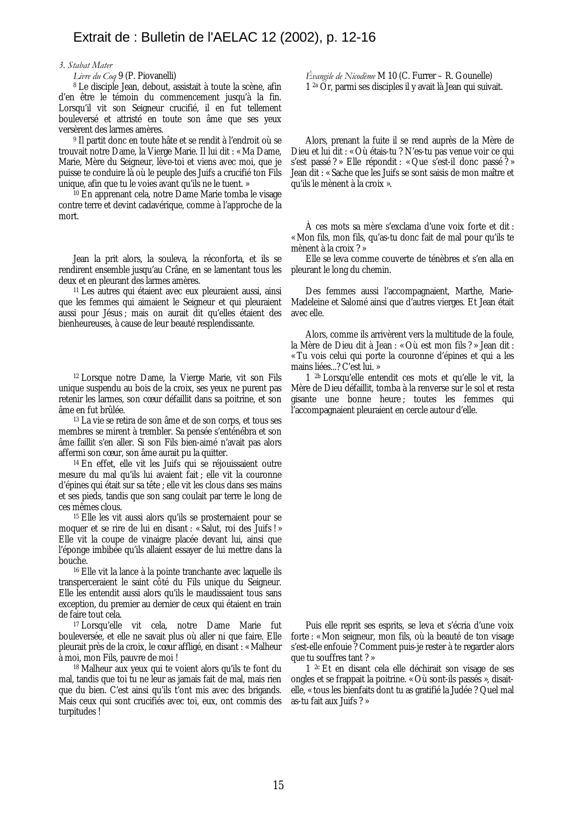#### *3. Stabat Mater*

8 Le disciple Jean, debout, assistait à toute la scène, afin d'en être le témoin du commencement jusqu'à la fin. Lorsqu'il vit son Seigneur crucifié, il en fut tellement bouleversé et attristé en toute son âme que ses yeux versèrent des larmes amères.

9 Il partit donc en toute hâte et se rendit à l'endroit où se trouvait notre Dame, la Vierge Marie. Il lui dit : « Ma Dame, Marie, Mère du Seigneur, lève-toi et viens avec moi, que je puisse te conduire là où le peuple des Juifs a crucifié ton Fils unique, afin que tu le voies avant qu'ils ne le tuent. »

10 En apprenant cela, notre Dame Marie tomba le visage contre terre et devint cadavérique, comme à l'approche de la mort.

Jean la prit alors, la souleva, la réconforta, et ils se rendirent ensemble jusqu'au Crâne, en se lamentant tous les deux et en pleurant des larmes amères.

11 Les autres qui étaient avec eux pleuraient aussi, ainsi que les femmes qui aimaient le Seigneur et qui pleuraient aussi pour Jésus ; mais on aurait dit qu'elles étaient des bienheureuses, à cause de leur beauté resplendissante.

12 Lorsque notre Dame, la Vierge Marie, vit son Fils unique suspendu au bois de la croix, ses yeux ne purent pas retenir les larmes, son cœur défaillit dans sa poitrine, et son âme en fut brûlée.

13 La vie se retira de son âme et de son corps, et tous ses membres se mirent à trembler. Sa pensée s'enténébra et son âme faillit s'en aller. Si son Fils bien-aimé n'avait pas alors affermi son cœur, son âme aurait pu la quitter.

14 En effet, elle vit les Juifs qui se réjouissaient outre mesure du mal qu'ils lui avaient fait ; elle vit la couronne d'épines qui était sur sa tête ; elle vit les clous dans ses mains et ses pieds, tandis que son sang coulait par terre le long de ces mêmes clous.

15 Elle les vit aussi alors qu'ils se prosternaient pour se moquer et se rire de lui en disant : « Salut, roi des Juifs ! » Elle vit la coupe de vinaigre placée devant lui, ainsi que l'éponge imbibée qu'ils allaient essayer de lui mettre dans la bouche.

16 Elle vit la lance à la pointe tranchante avec laquelle ils transperceraient le saint côté du Fils unique du Seigneur. Elle les entendit aussi alors qu'ils le maudissaient tous sans exception, du premier au dernier de ceux qui étaient en train de faire tout cela.

17 Lorsqu'elle vit cela, notre Dame Marie fut bouleversée, et elle ne savait plus où aller ni que faire. Elle pleurait près de la croix, le cœur affligé, en disant : « Malheur à moi, mon Fils, pauvre de moi !

<sup>18</sup> Malheur aux yeux qui te voient alors qu'ils te font du mal, tandis que toi tu ne leur as jamais fait de mal, mais rien que du bien. C'est ainsi qu'ils t'ont mis avec des brigands. Mais ceux qui sont crucifiés avec toi, eux, ont commis des turpitudes !

*Livre du Coq* 9 (P. Piovanelli) *Évangile de Nicodème* M 10 (C. Furrer – R. Gounelle) 1 2a Or, parmi ses disciples il y avait là Jean qui suivait.

> Alors, prenant la fuite il se rend auprès de la Mère de Dieu et lui dit : « Où étais-tu ? N'es-tu pas venue voir ce qui s'est passé ? » Elle répondit : « Que s'est-il donc passé ? » Jean dit : « Sache que les Juifs se sont saisis de mon maître et qu'ils le mènent à la croix ».

> À ces mots sa mère s'exclama d'une voix forte et dit : « Mon fils, mon fils, qu'as-tu donc fait de mal pour qu'ils te mènent à la croix ? »

> Elle se leva comme couverte de ténèbres et s'en alla en pleurant le long du chemin.

> Des femmes aussi l'accompagnaient, Marthe, Marie-Madeleine et Salomé ainsi que d'autres vierges. Et Jean était avec elle.

> Alors, comme ils arrivèrent vers la multitude de la foule, la Mère de Dieu dit à Jean : « Où est mon fils ? » Jean dit : « Tu vois celui qui porte la couronne d'épines et qui a les mains liées...? C'est lui. »

> 1 2b Lorsqu'elle entendit ces mots et qu'elle le vit, la Mère de Dieu défaillit, tomba à la renverse sur le sol et resta gisante une bonne heure ; toutes les femmes qui l'accompagnaient pleuraient en cercle autour d'elle.

> Puis elle reprit ses esprits, se leva et s'écria d'une voix forte : « Mon seigneur, mon fils, où la beauté de ton visage s'est-elle enfouie ? Comment puis-je rester à te regarder alors que tu souffres tant ? »

> 1 2c Et en disant cela elle déchirait son visage de ses ongles et se frappait la poitrine. « Où sont-ils passés », disaitelle, « tous les bienfaits dont tu as gratifié la Judée ? Quel mal as-tu fait aux Juifs ? »